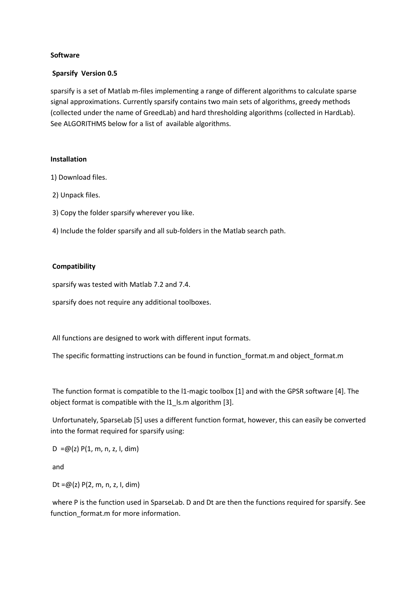# **Software**

### **Sparsify Version 0.5**

sparsify is a set of Matlab m-files implementing a range of different algorithms to calculate sparse signal approximations. Currently sparsify contains two main sets of algorithms, greedy methods (collected under the name of GreedLab) and hard thresholding algorithms (collected in HardLab). See ALGORITHMS below for a list of available algorithms.

#### **Installation**

- 1) Download files.
- 2) Unpack files.
- 3) Copy the folder sparsify wherever you like.
- 4) Include the folder sparsify and all sub-folders in the Matlab search path.

# **Compatibility**

sparsify was tested with Matlab 7.2 and 7.4.

sparsify does not require any additional toolboxes.

All functions are designed to work with different input formats.

The specific formatting instructions can be found in function format.m and object format.m

The function format is compatible to the l1-magic toolbox [1] and with the GPSR software [4]. The object format is compatible with the l1\_ls.m algorithm [3].

Unfortunately, SparseLab [5] uses a different function format, however, this can easily be converted into the format required for sparsify using:

 $D = \omega(z) P(1, m, n, z, I, dim)$ 

and

Dt = $\omega(z)$  P(2, m, n, z, l, dim)

where P is the function used in SparseLab. D and Dt are then the functions required for sparsify. See function format.m for more information.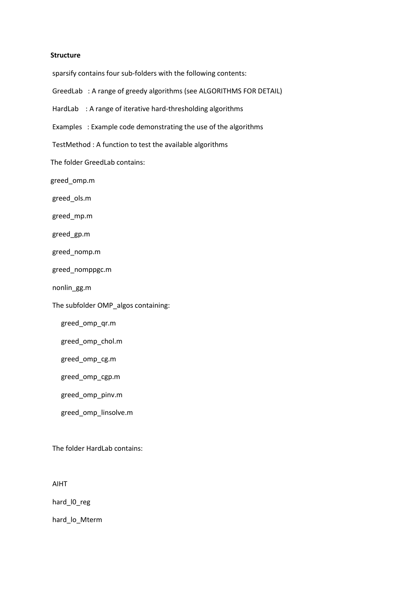#### **Structure**

sparsify contains four sub-folders with the following contents:

- GreedLab : A range of greedy algorithms (see ALGORITHMS FOR DETAIL)
- HardLab : A range of iterative hard-thresholding algorithms
- Examples : Example code demonstrating the use of the algorithms
- TestMethod : A function to test the available algorithms

The folder GreedLab contains:

greed\_omp.m

greed\_ols.m

greed\_mp.m

greed\_gp.m

greed\_nomp.m

greed\_nomppgc.m

nonlin\_gg.m

The subfolder OMP\_algos containing:

greed\_omp\_qr.m

greed\_omp\_chol.m

greed\_omp\_cg.m

greed\_omp\_cgp.m

greed\_omp\_pinv.m

greed\_omp\_linsolve.m

The folder HardLab contains:

AIHT

hard\_l0\_reg

hard lo Mterm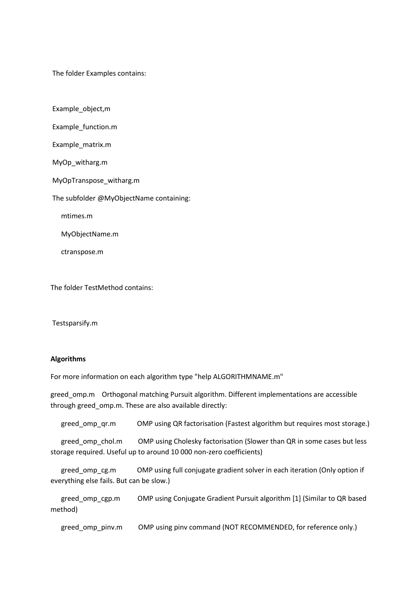The folder Examples contains:

Example\_object,m

Example\_function.m

Example\_matrix.m

MyOp\_witharg.m

MyOpTranspose\_witharg.m

The subfolder @MyObjectName containing:

mtimes.m

MyObjectName.m

ctranspose.m

The folder TestMethod contains:

Testsparsify.m

# **Algorithms**

For more information on each algorithm type "help ALGORITHMNAME.m"

greed\_omp.m Orthogonal matching Pursuit algorithm. Different implementations are accessible through greed omp.m. These are also available directly:

greed\_omp\_qr.m OMP using QR factorisation (Fastest algorithm but requires most storage.)

greed omp chol.m OMP using Cholesky factorisation (Slower than QR in some cases but less storage required. Useful up to around 10 000 non-zero coefficients)

 greed\_omp\_cg.m OMP using full conjugate gradient solver in each iteration (Only option if everything else fails. But can be slow.)

 greed\_omp\_cgp.m OMP using Conjugate Gradient Pursuit algorithm [1] (Similar to QR based method)

greed\_omp\_pinv.m OMP using pinv command (NOT RECOMMENDED, for reference only.)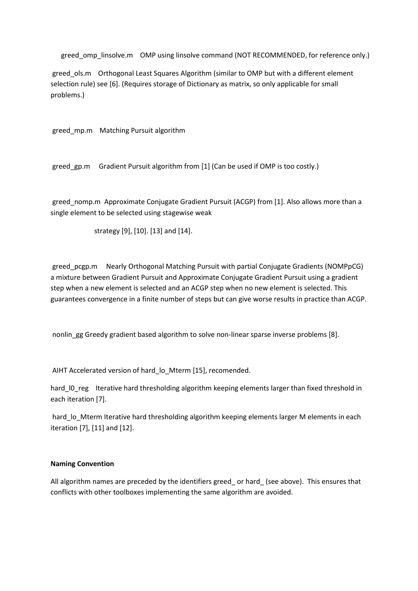greed\_omp\_linsolve.m OMP using linsolve command (NOT RECOMMENDED, for reference only.)

greed ols.m Orthogonal Least Squares Algorithm (similar to OMP but with a different element selection rule) see [6]. (Requires storage of Dictionary as matrix, so only applicable for small problems.)

greed\_mp.m Matching Pursuit algorithm

greed\_gp.m Gradient Pursuit algorithm from [1] (Can be used if OMP is too costly.)

greed\_nomp.m Approximate Conjugate Gradient Pursuit (ACGP) from [1]. Also allows more than a single element to be selected using stagewise weak

strategy [9], [10]. [13] and [14].

greed\_pcgp.m Nearly Orthogonal Matching Pursuit with partial Conjugate Gradients (NOMPpCG) a mixture between Gradient Pursuit and Approximate Conjugate Gradient Pursuit using a gradient step when a new element is selected and an ACGP step when no new element is selected. This guarantees convergence in a finite number of steps but can give worse results in practice than ACGP.

nonlin\_gg Greedy gradient based algorithm to solve non-linear sparse inverse problems [8].

AIHT Accelerated version of hard\_lo\_Mterm [15], recomended.

hard IO reg Iterative hard thresholding algorithm keeping elements larger than fixed threshold in each iteration [7].

hard Io Mterm Iterative hard thresholding algorithm keeping elements larger M elements in each iteration [7], [11] and [12].

#### **Naming Convention**

All algorithm names are preceded by the identifiers greed\_ or hard\_ (see above). This ensures that conflicts with other toolboxes implementing the same algorithm are avoided.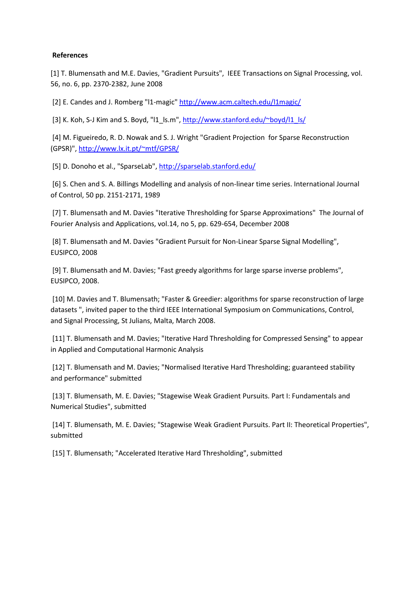### **References**

[1] T. Blumensath and M.E. Davies, "Gradient Pursuits", IEEE Transactions on Signal Processing, vol. 56, no. 6, pp. 2370-2382, June 2008

[2] E. Candes and J. Romberg "I1-magic[" http://www.acm.caltech.edu/l1magic/](http://www.acm.caltech.edu/l1magic/)

[3] K. Koh, S-J Kim and S. Boyd, "I1\_ls.m", [http://www.stanford.edu/~boyd/l1\\_ls/](http://www.stanford.edu/~boyd/l1_ls/)

[4] M. Figueiredo, R. D. Nowak and S. J. Wright "Gradient Projection for Sparse Reconstruction (GPSR)",<http://www.lx.it.pt/~mtf/GPSR/>

[5] D. Donoho et al., "SparseLab"[, http://sparselab.stanford.edu/](http://sparselab.stanford.edu/)

[6] S. Chen and S. A. Billings Modelling and analysis of non-linear time series. International Journal of Control, 50 pp. 2151-2171, 1989

[7] T. Blumensath and M. Davies "Iterative Thresholding for Sparse Approximations" The Journal of Fourier Analysis and Applications, vol.14, no 5, pp. 629-654, December 2008

[8] T. Blumensath and M. Davies "Gradient Pursuit for Non-Linear Sparse Signal Modelling", EUSIPCO, 2008

[9] T. Blumensath and M. Davies; "Fast greedy algorithms for large sparse inverse problems", EUSIPCO, 2008.

[10] M. Davies and T. Blumensath; "Faster & Greedier: algorithms for sparse reconstruction of large datasets ", invited paper to the third IEEE International Symposium on Communications, Control, and Signal Processing, St Julians, Malta, March 2008.

[11] T. Blumensath and M. Davies; "Iterative Hard Thresholding for Compressed Sensing" to appear in Applied and Computational Harmonic Analysis

[12] T. Blumensath and M. Davies; "Normalised Iterative Hard Thresholding; guaranteed stability and performance" submitted

[13] T. Blumensath, M. E. Davies; "Stagewise Weak Gradient Pursuits. Part I: Fundamentals and Numerical Studies", submitted

[14] T. Blumensath, M. E. Davies; "Stagewise Weak Gradient Pursuits. Part II: Theoretical Properties", submitted

[15] T. Blumensath; "Accelerated Iterative Hard Thresholding", submitted